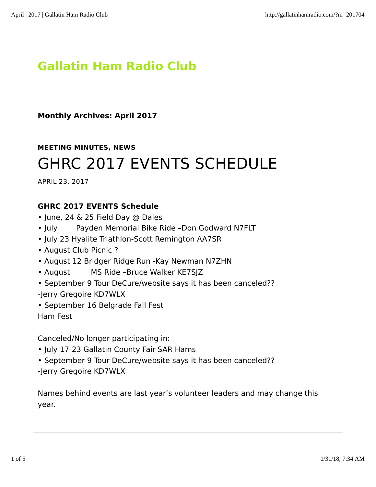### **Gallatin Ham Radio Club**

**Monthly Archives: April 2017**

**MEETING MINUTES, NEWS**

# GHRC 2017 EVENTS SCHEDULE

APRIL 23, 2017

#### **GHRC 2017 EVENTS Schedule**

- June, 24 & 25 Field Day @ Dales
- July Payden Memorial Bike Ride –Don Godward N7FLT
- July 23 Hyalite Triathlon-Scott Remington AA7SR
- August Club Picnic ?
- August 12 Bridger Ridge Run -Kay Newman N7ZHN
- August MS Ride -Bruce Walker KE7SJZ
- September 9 Tour DeCure/website says it has been canceled?? -Jerry Gregoire KD7WLX
- September 16 Belgrade Fall Fest

Ham Fest

Canceled/No longer participating in:

- July 17-23 Gallatin County Fair-SAR Hams
- September 9 Tour DeCure/website says it has been canceled??
- -Jerry Gregoire KD7WLX

Names behind events are last year's volunteer leaders and may change this year.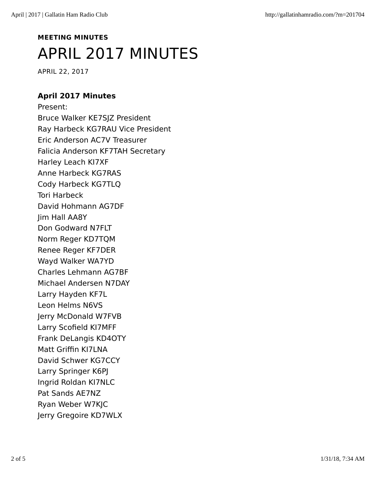## **MEETING MINUTES** APRIL 2017 MINUTES

APRIL 22, 2017

#### **April 2017 Minutes**

Present: Bruce Walker KE7SJZ President Ray Harbeck KG7RAU Vice President Eric Anderson AC7V Treasurer Falicia Anderson KF7TAH Secretary Harley Leach KI7XF Anne Harbeck KG7RAS Cody Harbeck KG7TLQ Tori Harbeck David Hohmann AG7DF Jim Hall AA8Y Don Godward N7FLT Norm Reger KD7TQM Renee Reger KF7DER Wayd Walker WA7YD Charles Lehmann AG7BF Michael Andersen N7DAY Larry Hayden KF7L Leon Helms N6VS Jerry McDonald W7FVB Larry Scofield KI7MFF Frank DeLangis KD4OTY Matt Griffin KI7LNA David Schwer KG7CCY Larry Springer K6PJ Ingrid Roldan KI7NLC Pat Sands AE7NZ Ryan Weber W7KJC Jerry Gregoire KD7WLX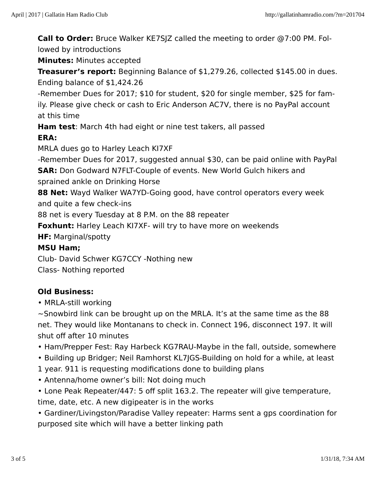**Call to Order:** Bruce Walker KE7SJZ called the meeting to order @7:00 PM. Fol‐ lowed by introductions

**Minutes:** Minutes accepted

**Treasurer's report:** Beginning Balance of \$1,279.26, collected \$145.00 in dues. Ending balance of \$1,424.26

-Remember Dues for 2017; \$10 for student, \$20 for single member, \$25 for fam‐ ily. Please give check or cash to Eric Anderson AC7V, there is no PayPal account at this time

**Ham test**: March 4th had eight or nine test takers, all passed

#### **ERA:**

MRLA dues go to Harley Leach KI7XF

-Remember Dues for 2017, suggested annual \$30, can be paid online with PayPal **SAR:** Don Godward N7FLT-Couple of events. New World Gulch hikers and sprained ankle on Drinking Horse

**88 Net:** Wayd Walker WA7YD-Going good, have control operators every week and quite a few check-ins

88 net is every Tuesday at 8 P.M. on the 88 repeater

**Foxhunt:** Harley Leach KI7XF- will try to have more on weekends

**HF:** Marginal/spotty

#### **MSU Ham;**

Club- David Schwer KG7CCY -Nothing new

Class- Nothing reported

#### **Old Business:**

• MRLA-still working

 $\sim$ Snowbird link can be brought up on the MRLA. It's at the same time as the 88 net. They would like Montanans to check in. Connect 196, disconnect 197. It will shut off after 10 minutes

- Ham/Prepper Fest: Ray Harbeck KG7RAU-Maybe in the fall, outside, somewhere
- Building up Bridger; Neil Ramhorst KL7JGS-Building on hold for a while, at least
- 1 year. 911 is requesting modifications done to building plans
- Antenna/home owner's bill: Not doing much
- Lone Peak Repeater/447: 5 off split 163.2. The repeater will give temperature, time, date, etc. A new digipeater is in the works

• Gardiner/Livingston/Paradise Valley repeater: Harms sent a gps coordination for purposed site which will have a better linking path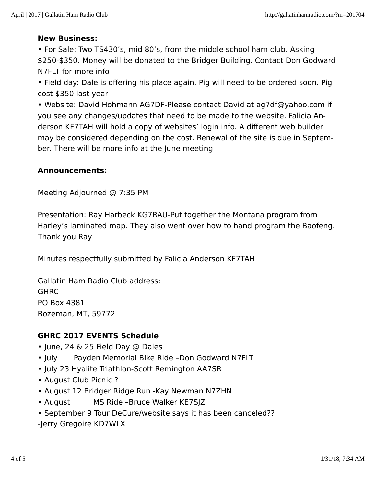#### **New Business:**

• For Sale: Two TS430's, mid 80's, from the middle school ham club. Asking \$250-\$350. Money will be donated to the Bridger Building. Contact Don Godward N7FLT for more info

• Field day: Dale is offering his place again. Pig will need to be ordered soon. Pig cost \$350 last year

• Website: David Hohmann AG7DF-Please contact David at ag7df@yahoo.com if you see any changes/updates that need to be made to the website. Falicia An‐ derson KF7TAH will hold a copy of websites' login info. A different web builder may be considered depending on the cost. Renewal of the site is due in Septem‐ ber. There will be more info at the June meeting

#### **Announcements:**

Meeting Adjourned @ 7:35 PM

Presentation: Ray Harbeck KG7RAU-Put together the Montana program from Harley's laminated map. They also went over how to hand program the Baofeng. Thank you Ray

Minutes respectfully submitted by Falicia Anderson KF7TAH

Gallatin Ham Radio Club address: **GHRC** PO Box 4381 Bozeman, MT, 59772

#### **GHRC 2017 EVENTS Schedule**

- June, 24 & 25 Field Day @ Dales
- July Payden Memorial Bike Ride –Don Godward N7FLT
- July 23 Hyalite Triathlon-Scott Remington AA7SR
- August Club Picnic ?
- August 12 Bridger Ridge Run -Kay Newman N7ZHN
- August MS Ride –Bruce Walker KE7SJZ
- September 9 Tour DeCure/website says it has been canceled??
- -Jerry Gregoire KD7WLX